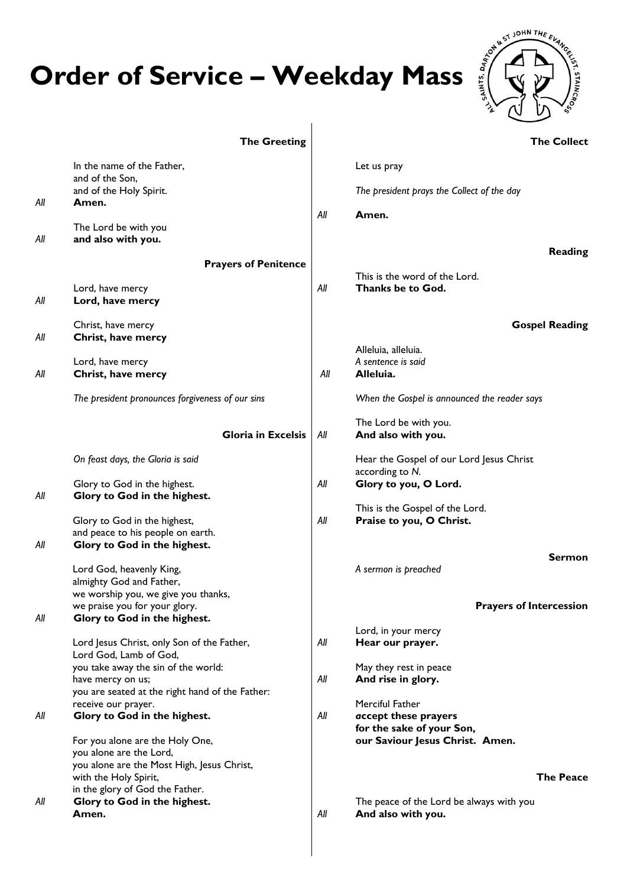## **Order of Service – Weekday Mass**



|     | <b>The Greeting</b>                                                  |     | <b>The Collect</b>                                          |
|-----|----------------------------------------------------------------------|-----|-------------------------------------------------------------|
|     | In the name of the Father,                                           |     | Let us pray                                                 |
|     | and of the Son,<br>and of the Holy Spirit.                           |     | The president prays the Collect of the day                  |
| All | Amen.                                                                |     |                                                             |
|     | The Lord be with you                                                 | All | Amen.                                                       |
| All | and also with you.                                                   |     |                                                             |
|     | <b>Prayers of Penitence</b>                                          |     | Reading                                                     |
|     |                                                                      |     | This is the word of the Lord.                               |
| All | Lord, have mercy<br>Lord, have mercy                                 | All | Thanks be to God.                                           |
| All | Christ, have mercy<br>Christ, have mercy                             |     | <b>Gospel Reading</b>                                       |
|     | Lord, have mercy                                                     |     | Alleluia, alleluia.<br>A sentence is said                   |
| All | Christ, have mercy                                                   | All | Alleluia.                                                   |
|     | The president pronounces forgiveness of our sins                     |     | When the Gospel is announced the reader says                |
|     | <b>Gloria in Excelsis</b>                                            | All | The Lord be with you.<br>And also with you.                 |
|     | On feast days, the Gloria is said                                    |     | Hear the Gospel of our Lord Jesus Christ<br>according to N. |
| All | Glory to God in the highest.<br>Glory to God in the highest.         | All | Glory to you, O Lord.                                       |
|     |                                                                      |     | This is the Gospel of the Lord.                             |
|     | Glory to God in the highest,<br>and peace to his people on earth.    | All | Praise to you, O Christ.                                    |
| All | Glory to God in the highest.                                         |     |                                                             |
|     | Lord God, heavenly King,                                             |     | Sermon<br>A sermon is preached                              |
|     | almighty God and Father,                                             |     |                                                             |
|     | we worship you, we give you thanks,<br>we praise you for your glory. |     | <b>Prayers of Intercession</b>                              |
| All | Glory to God in the highest.                                         |     |                                                             |
|     | Lord Jesus Christ, only Son of the Father,                           | All | Lord, in your mercy<br>Hear our prayer.                     |
|     | Lord God, Lamb of God,                                               |     |                                                             |
|     | you take away the sin of the world:<br>have mercy on us;             | All | May they rest in peace<br>And rise in glory.                |
|     | you are seated at the right hand of the Father:                      |     |                                                             |
| All | receive our prayer.<br>Glory to God in the highest.                  | All | Merciful Father<br>accept these prayers                     |
|     |                                                                      |     | for the sake of your Son,                                   |
|     | For you alone are the Holy One,<br>you alone are the Lord,           |     | our Saviour Jesus Christ. Amen.                             |
|     | you alone are the Most High, Jesus Christ,                           |     |                                                             |
|     | with the Holy Spirit,<br>in the glory of God the Father.             |     | <b>The Peace</b>                                            |
| All | Glory to God in the highest.                                         |     | The peace of the Lord be always with you                    |
|     | Amen.                                                                | All | And also with you.                                          |